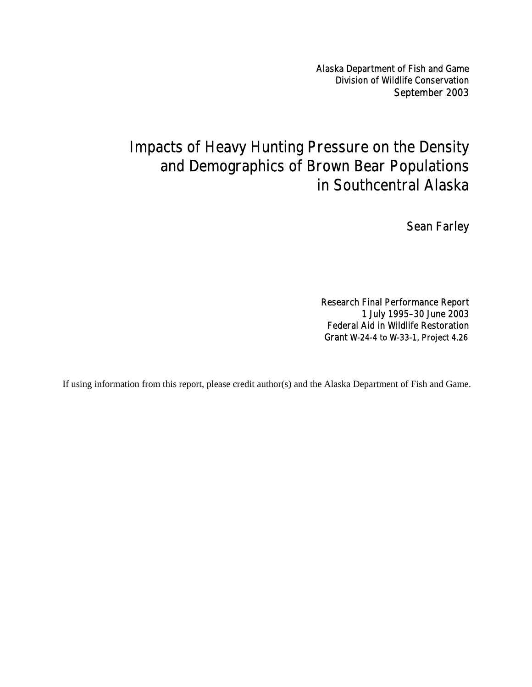Alaska Department of Fish and Game Division of Wildlife Conservation September 2003

# Impacts of Heavy Hunting Pressure on the Density and Demographics of Brown Bear Populations in Southcentral Alaska

Sean Farley

Research Final Performance Report 1 July 1995–30 June 2003 Federal Aid in Wildlife Restoration Grant W-24-4 to W-33-1, Project 4.26

If using information from this report, please credit author(s) and the Alaska Department of Fish and Game.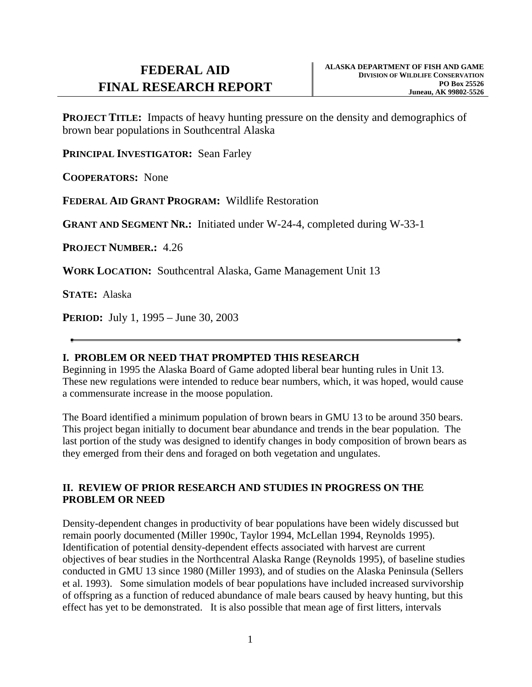**PROJECT TITLE:** Impacts of heavy hunting pressure on the density and demographics of brown bear populations in Southcentral Alaska

**PRINCIPAL INVESTIGATOR:** Sean Farley

**COOPERATORS:** None

**FEDERAL AID GRANT PROGRAM:** Wildlife Restoration

**GRANT AND SEGMENT NR.:** Initiated under W-24-4, completed during W-33-1

**PROJECT NUMBER.:** 4.26

**WORK LOCATION:** Southcentral Alaska, Game Management Unit 13

**STATE:** Alaska

**PERIOD:** July 1, 1995 – June 30, 2003

# **I. PROBLEM OR NEED THAT PROMPTED THIS RESEARCH**

Beginning in 1995 the Alaska Board of Game adopted liberal bear hunting rules in Unit 13. These new regulations were intended to reduce bear numbers, which, it was hoped, would cause a commensurate increase in the moose population.

The Board identified a minimum population of brown bears in GMU 13 to be around 350 bears. This project began initially to document bear abundance and trends in the bear population. The last portion of the study was designed to identify changes in body composition of brown bears as they emerged from their dens and foraged on both vegetation and ungulates.

# **II. REVIEW OF PRIOR RESEARCH AND STUDIES IN PROGRESS ON THE PROBLEM OR NEED**

Density-dependent changes in productivity of bear populations have been widely discussed but remain poorly documented (Miller 1990c, Taylor 1994, McLellan 1994, Reynolds 1995). Identification of potential density-dependent effects associated with harvest are current objectives of bear studies in the Northcentral Alaska Range (Reynolds 1995), of baseline studies conducted in GMU 13 since 1980 (Miller 1993), and of studies on the Alaska Peninsula (Sellers et al. 1993). Some simulation models of bear populations have included increased survivorship of offspring as a function of reduced abundance of male bears caused by heavy hunting, but this effect has yet to be demonstrated. It is also possible that mean age of first litters, intervals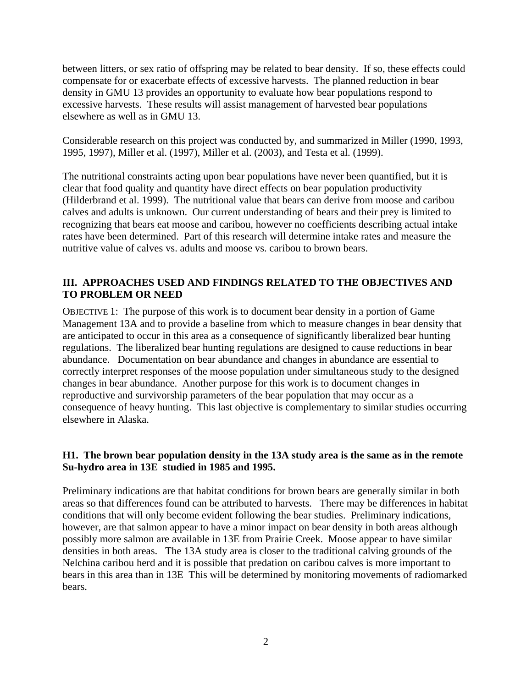between litters, or sex ratio of offspring may be related to bear density. If so, these effects could compensate for or exacerbate effects of excessive harvests. The planned reduction in bear density in GMU 13 provides an opportunity to evaluate how bear populations respond to excessive harvests. These results will assist management of harvested bear populations elsewhere as well as in GMU 13.

Considerable research on this project was conducted by, and summarized in Miller (1990, 1993, 1995, 1997), Miller et al. (1997), Miller et al. (2003), and Testa et al. (1999).

The nutritional constraints acting upon bear populations have never been quantified, but it is clear that food quality and quantity have direct effects on bear population productivity (Hilderbrand et al. 1999). The nutritional value that bears can derive from moose and caribou calves and adults is unknown. Our current understanding of bears and their prey is limited to recognizing that bears eat moose and caribou, however no coefficients describing actual intake rates have been determined. Part of this research will determine intake rates and measure the nutritive value of calves vs. adults and moose vs. caribou to brown bears.

#### **III. APPROACHES USED AND FINDINGS RELATED TO THE OBJECTIVES AND TO PROBLEM OR NEED**

OBJECTIVE 1: The purpose of this work is to document bear density in a portion of Game Management 13A and to provide a baseline from which to measure changes in bear density that are anticipated to occur in this area as a consequence of significantly liberalized bear hunting regulations. The liberalized bear hunting regulations are designed to cause reductions in bear abundance. Documentation on bear abundance and changes in abundance are essential to correctly interpret responses of the moose population under simultaneous study to the designed changes in bear abundance. Another purpose for this work is to document changes in reproductive and survivorship parameters of the bear population that may occur as a consequence of heavy hunting. This last objective is complementary to similar studies occurring elsewhere in Alaska.

# **H1. The brown bear population density in the 13A study area is the same as in the remote Su-hydro area in 13E studied in 1985 and 1995.**

Preliminary indications are that habitat conditions for brown bears are generally similar in both areas so that differences found can be attributed to harvests. There may be differences in habitat conditions that will only become evident following the bear studies. Preliminary indications, however, are that salmon appear to have a minor impact on bear density in both areas although possibly more salmon are available in 13E from Prairie Creek. Moose appear to have similar densities in both areas. The 13A study area is closer to the traditional calving grounds of the Nelchina caribou herd and it is possible that predation on caribou calves is more important to bears in this area than in 13E This will be determined by monitoring movements of radiomarked bears.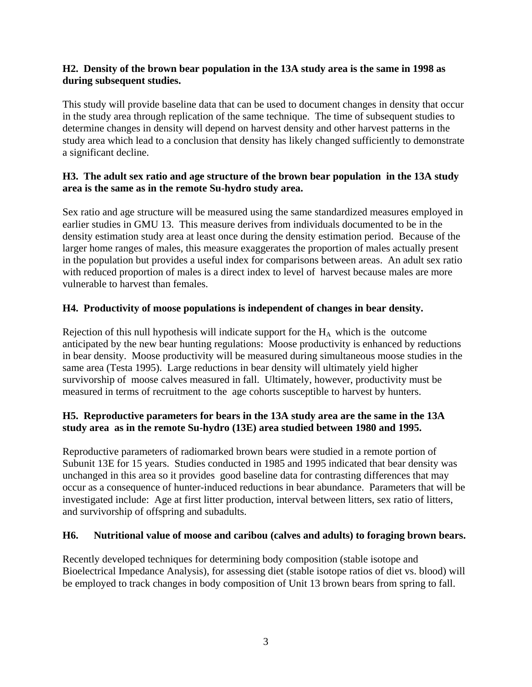# **H2. Density of the brown bear population in the 13A study area is the same in 1998 as during subsequent studies.**

This study will provide baseline data that can be used to document changes in density that occur in the study area through replication of the same technique. The time of subsequent studies to determine changes in density will depend on harvest density and other harvest patterns in the study area which lead to a conclusion that density has likely changed sufficiently to demonstrate a significant decline.

# **H3. The adult sex ratio and age structure of the brown bear population in the 13A study area is the same as in the remote Su-hydro study area.**

Sex ratio and age structure will be measured using the same standardized measures employed in earlier studies in GMU 13. This measure derives from individuals documented to be in the density estimation study area at least once during the density estimation period. Because of the larger home ranges of males, this measure exaggerates the proportion of males actually present in the population but provides a useful index for comparisons between areas. An adult sex ratio with reduced proportion of males is a direct index to level of harvest because males are more vulnerable to harvest than females.

# **H4. Productivity of moose populations is independent of changes in bear density.**

Rejection of this null hypothesis will indicate support for the  $H_A$  which is the outcome anticipated by the new bear hunting regulations: Moose productivity is enhanced by reductions in bear density. Moose productivity will be measured during simultaneous moose studies in the same area (Testa 1995). Large reductions in bear density will ultimately yield higher survivorship of moose calves measured in fall. Ultimately, however, productivity must be measured in terms of recruitment to the age cohorts susceptible to harvest by hunters.

# **H5. Reproductive parameters for bears in the 13A study area are the same in the 13A study area as in the remote Su-hydro (13E) area studied between 1980 and 1995.**

Reproductive parameters of radiomarked brown bears were studied in a remote portion of Subunit 13E for 15 years. Studies conducted in 1985 and 1995 indicated that bear density was unchanged in this area so it provides good baseline data for contrasting differences that may occur as a consequence of hunter-induced reductions in bear abundance. Parameters that will be investigated include: Age at first litter production, interval between litters, sex ratio of litters, and survivorship of offspring and subadults.

# **H6. Nutritional value of moose and caribou (calves and adults) to foraging brown bears.**

Recently developed techniques for determining body composition (stable isotope and Bioelectrical Impedance Analysis), for assessing diet (stable isotope ratios of diet vs. blood) will be employed to track changes in body composition of Unit 13 brown bears from spring to fall.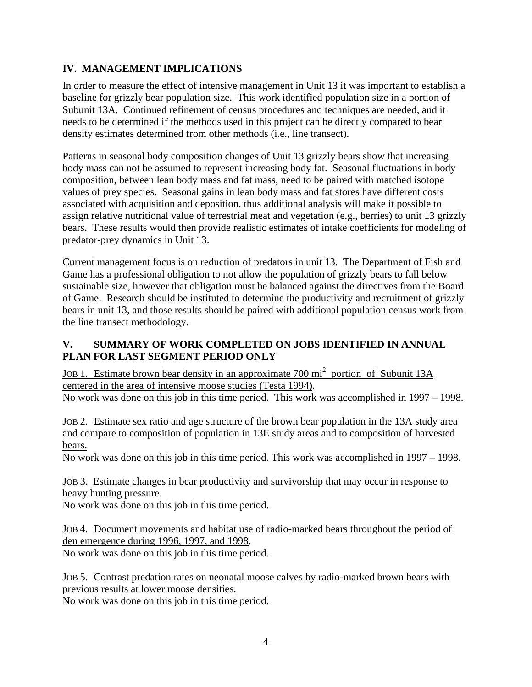# **IV. MANAGEMENT IMPLICATIONS**

In order to measure the effect of intensive management in Unit 13 it was important to establish a baseline for grizzly bear population size. This work identified population size in a portion of Subunit 13A. Continued refinement of census procedures and techniques are needed, and it needs to be determined if the methods used in this project can be directly compared to bear density estimates determined from other methods (i.e., line transect).

Patterns in seasonal body composition changes of Unit 13 grizzly bears show that increasing body mass can not be assumed to represent increasing body fat. Seasonal fluctuations in body composition, between lean body mass and fat mass, need to be paired with matched isotope values of prey species. Seasonal gains in lean body mass and fat stores have different costs associated with acquisition and deposition, thus additional analysis will make it possible to assign relative nutritional value of terrestrial meat and vegetation (e.g., berries) to unit 13 grizzly bears. These results would then provide realistic estimates of intake coefficients for modeling of predator-prey dynamics in Unit 13.

Current management focus is on reduction of predators in unit 13. The Department of Fish and Game has a professional obligation to not allow the population of grizzly bears to fall below sustainable size, however that obligation must be balanced against the directives from the Board of Game. Research should be instituted to determine the productivity and recruitment of grizzly bears in unit 13, and those results should be paired with additional population census work from the line transect methodology.

# **V. SUMMARY OF WORK COMPLETED ON JOBS IDENTIFIED IN ANNUAL PLAN FOR LAST SEGMENT PERIOD ONLY**

JOB 1. Estimate brown bear density in an approximate 700 mi<sup>2</sup> portion of Subunit 13A centered in the area of intensive moose studies (Testa 1994).

No work was done on this job in this time period. This work was accomplished in 1997 – 1998.

JOB 2. Estimate sex ratio and age structure of the brown bear population in the 13A study area and compare to composition of population in 13E study areas and to composition of harvested bears.

No work was done on this job in this time period. This work was accomplished in 1997 – 1998.

JOB 3. Estimate changes in bear productivity and survivorship that may occur in response to heavy hunting pressure.

No work was done on this job in this time period.

JOB 4. Document movements and habitat use of radio-marked bears throughout the period of den emergence during 1996, 1997, and 1998. No work was done on this job in this time period.

JOB 5. Contrast predation rates on neonatal moose calves by radio-marked brown bears with previous results at lower moose densities.

No work was done on this job in this time period.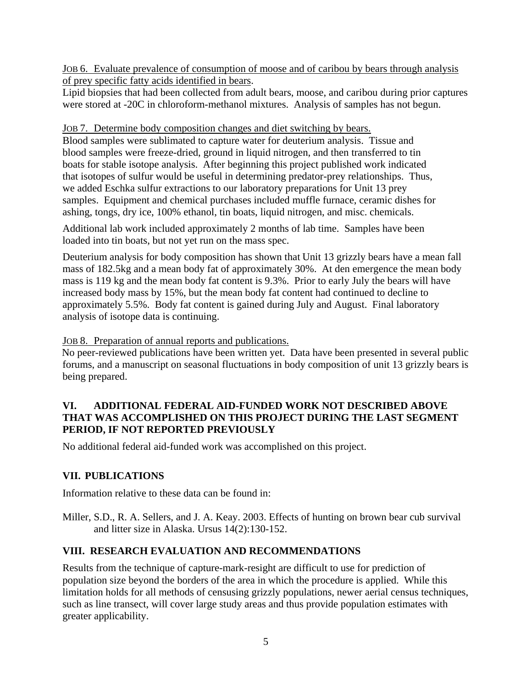JOB 6. Evaluate prevalence of consumption of moose and of caribou by bears through analysis of prey specific fatty acids identified in bears.

Lipid biopsies that had been collected from adult bears, moose, and caribou during prior captures were stored at -20C in chloroform-methanol mixtures. Analysis of samples has not begun.

JOB 7. Determine body composition changes and diet switching by bears.

Blood samples were sublimated to capture water for deuterium analysis. Tissue and blood samples were freeze-dried, ground in liquid nitrogen, and then transferred to tin boats for stable isotope analysis. After beginning this project published work indicated that isotopes of sulfur would be useful in determining predator-prey relationships. Thus, we added Eschka sulfur extractions to our laboratory preparations for Unit 13 prey samples. Equipment and chemical purchases included muffle furnace, ceramic dishes for ashing, tongs, dry ice, 100% ethanol, tin boats, liquid nitrogen, and misc. chemicals.

Additional lab work included approximately 2 months of lab time. Samples have been loaded into tin boats, but not yet run on the mass spec.

Deuterium analysis for body composition has shown that Unit 13 grizzly bears have a mean fall mass of 182.5kg and a mean body fat of approximately 30%. At den emergence the mean body mass is 119 kg and the mean body fat content is 9.3%. Prior to early July the bears will have increased body mass by 15%, but the mean body fat content had continued to decline to approximately 5.5%. Body fat content is gained during July and August. Final laboratory analysis of isotope data is continuing.

JOB 8. Preparation of annual reports and publications.

No peer-reviewed publications have been written yet. Data have been presented in several public forums, and a manuscript on seasonal fluctuations in body composition of unit 13 grizzly bears is being prepared.

# **VI. ADDITIONAL FEDERAL AID-FUNDED WORK NOT DESCRIBED ABOVE THAT WAS ACCOMPLISHED ON THIS PROJECT DURING THE LAST SEGMENT PERIOD, IF NOT REPORTED PREVIOUSLY**

No additional federal aid-funded work was accomplished on this project.

# **VII. PUBLICATIONS**

Information relative to these data can be found in:

Miller, S.D., R. A. Sellers, and J. A. Keay. 2003. Effects of hunting on brown bear cub survival and litter size in Alaska. Ursus 14(2):130-152.

# **VIII. RESEARCH EVALUATION AND RECOMMENDATIONS**

Results from the technique of capture-mark-resight are difficult to use for prediction of population size beyond the borders of the area in which the procedure is applied. While this limitation holds for all methods of censusing grizzly populations, newer aerial census techniques, such as line transect, will cover large study areas and thus provide population estimates with greater applicability.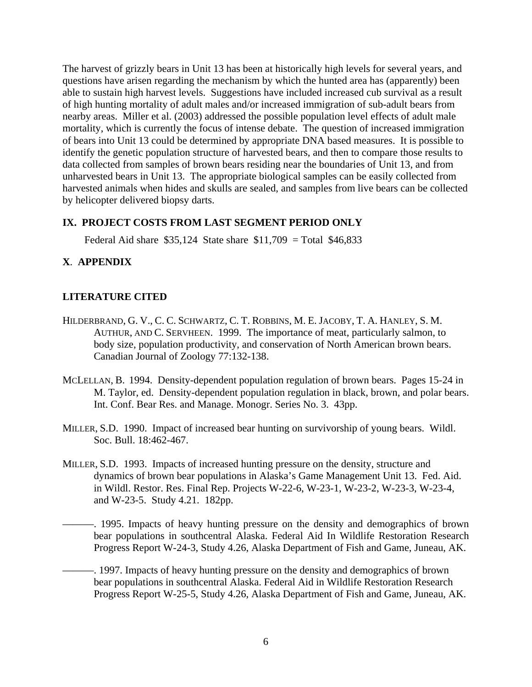The harvest of grizzly bears in Unit 13 has been at historically high levels for several years, and questions have arisen regarding the mechanism by which the hunted area has (apparently) been able to sustain high harvest levels. Suggestions have included increased cub survival as a result of high hunting mortality of adult males and/or increased immigration of sub-adult bears from nearby areas. Miller et al. (2003) addressed the possible population level effects of adult male mortality, which is currently the focus of intense debate. The question of increased immigration of bears into Unit 13 could be determined by appropriate DNA based measures. It is possible to identify the genetic population structure of harvested bears, and then to compare those results to data collected from samples of brown bears residing near the boundaries of Unit 13, and from unharvested bears in Unit 13. The appropriate biological samples can be easily collected from harvested animals when hides and skulls are sealed, and samples from live bears can be collected by helicopter delivered biopsy darts.

#### **IX. PROJECT COSTS FROM LAST SEGMENT PERIOD ONLY**

Federal Aid share  $$35,124$  State share  $$11,709 = Total $46,833$ 

# **X**. **APPENDIX**

# **LITERATURE CITED**

- HILDERBRAND, G. V., C. C. SCHWARTZ, C. T. ROBBINS, M. E. JACOBY, T. A. HANLEY, S. M. AUTHUR, AND C. SERVHEEN. 1999. The importance of meat, particularly salmon, to body size, population productivity, and conservation of North American brown bears. Canadian Journal of Zoology 77:132-138.
- MCLELLAN, B. 1994. Density-dependent population regulation of brown bears. Pages 15-24 in M. Taylor, ed. Density-dependent population regulation in black, brown, and polar bears. Int. Conf. Bear Res. and Manage. Monogr. Series No. 3. 43pp.
- MILLER, S.D. 1990. Impact of increased bear hunting on survivorship of young bears. Wildl. Soc. Bull. 18:462-467.
- MILLER, S.D. 1993. Impacts of increased hunting pressure on the density, structure and dynamics of brown bear populations in Alaska's Game Management Unit 13. Fed. Aid. in Wildl. Restor. Res. Final Rep. Projects W-22-6, W-23-1, W-23-2, W-23-3, W-23-4, and W-23-5. Study 4.21. 182pp.
	- ———. 1995. Impacts of heavy hunting pressure on the density and demographics of brown bear populations in southcentral Alaska. Federal Aid In Wildlife Restoration Research Progress Report W-24-3, Study 4.26, Alaska Department of Fish and Game, Juneau, AK.
- -. 1997. Impacts of heavy hunting pressure on the density and demographics of brown bear populations in southcentral Alaska. Federal Aid in Wildlife Restoration Research Progress Report W-25-5, Study 4.26, Alaska Department of Fish and Game, Juneau, AK.